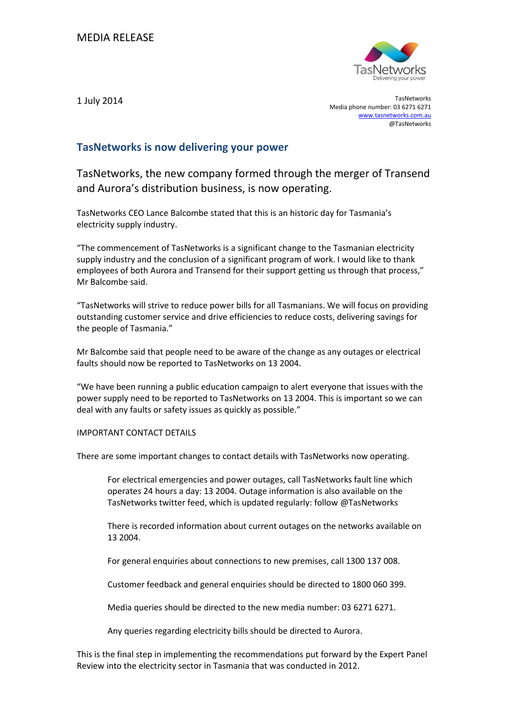

1 July 2014 TasNetworks Media phone number: 03 6271 6271 [www.tasnetworks.com.au](http://www.tasnetworks.com.au/) @TasNetworks

## **TasNetworks is now delivering your power**

TasNetworks, the new company formed through the merger of Transend and Aurora's distribution business, is now operating.

TasNetworks CEO Lance Balcombe stated that this is an historic day for Tasmania's electricity supply industry.

"The commencement of TasNetworks is a significant change to the Tasmanian electricity supply industry and the conclusion of a significant program of work. I would like to thank employees of both Aurora and Transend for their support getting us through that process," Mr Balcombe said.

"TasNetworks will strive to reduce power bills for all Tasmanians. We will focus on providing outstanding customer service and drive efficiencies to reduce costs, delivering savings for the people of Tasmania."

Mr Balcombe said that people need to be aware of the change as any outages or electrical faults should now be reported to TasNetworks on 13 2004.

"We have been running a public education campaign to alert everyone that issues with the power supply need to be reported to TasNetworks on 13 2004. This is important so we can deal with any faults or safety issues as quickly as possible."

## IMPORTANT CONTACT DETAILS

There are some important changes to contact details with TasNetworks now operating.

For electrical emergencies and power outages, call TasNetworks fault line which operates 24 hours a day: 13 2004. Outage information is also available on the TasNetworks twitter feed, which is updated regularly: follow @TasNetworks

There is recorded information about current outages on the networks available on 13 2004.

For general enquiries about connections to new premises, call 1300 137 008.

Customer feedback and general enquiries should be directed to 1800 060 399.

Media queries should be directed to the new media number: 03 6271 6271.

Any queries regarding electricity bills should be directed to Aurora.

This is the final step in implementing the recommendations put forward by the Expert Panel Review into the electricity sector in Tasmania that was conducted in 2012.